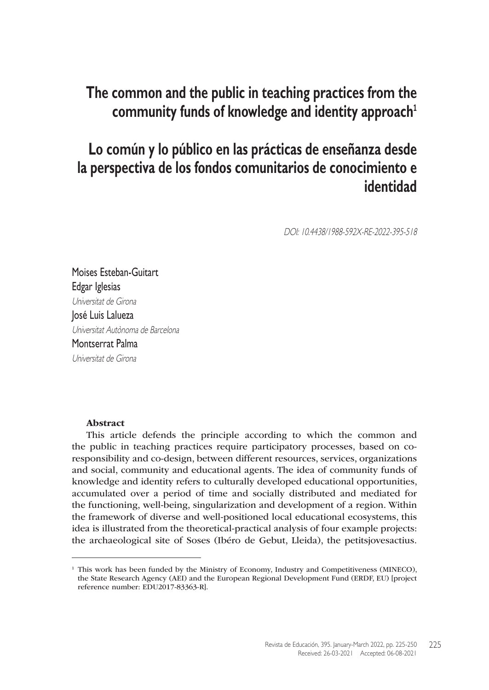# **The common and the public in teaching practices from the community funds of knowledge and identity approach<sup>1</sup>**

# **Lo común y lo público en las prácticas de enseñanza desde la perspectiva de los fondos comunitarios de conocimiento e identidad**

DOI: 10.4438/1988-592X-RE-2022-395-518

Moises Esteban-Guitart Edgar Iglesias Universitat de Girona José Luis Lalueza Universitat Autònoma de Barcelona Montserrat Palma Universitat de Girona

#### Abstract

This article defends the principle according to which the common and the public in teaching practices require participatory processes, based on coresponsibility and co-design, between different resources, services, organizations and social, community and educational agents. The idea of community funds of knowledge and identity refers to culturally developed educational opportunities, accumulated over a period of time and socially distributed and mediated for the functioning, well-being, singularization and development of a region. Within the framework of diverse and well-positioned local educational ecosystems, this idea is illustrated from the theoretical-practical analysis of four example projects: the archaeological site of Soses (Ibéro de Gebut, Lleida), the [petitsjovesactius.](petitsjovesactius.org)

<sup>&</sup>lt;sup>1</sup> This work has been funded by the Ministry of Economy, Industry and Competitiveness (MINECO), the State Research Agency (AEI) and the European Regional Development Fund (ERDF, EU) [project reference number: EDU2017-83363-R].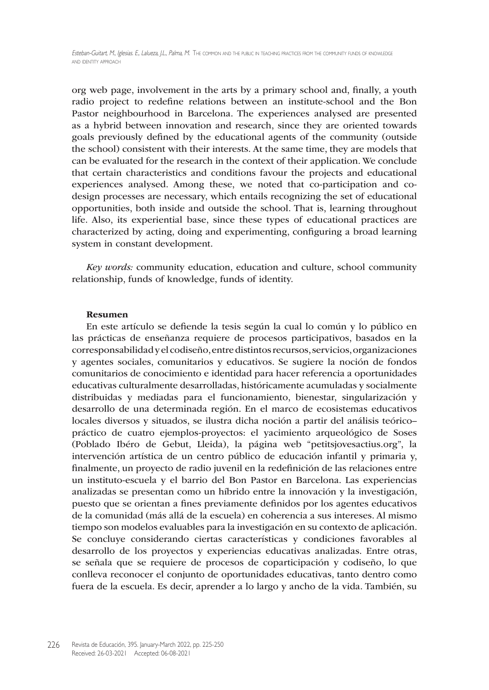[org](petitsjovesactius.org) web page, involvement in the arts by a primary school and, finally, a youth radio project to redefine relations between an institute-school and the Bon Pastor neighbourhood in Barcelona. The experiences analysed are presented as a hybrid between innovation and research, since they are oriented towards goals previously defined by the educational agents of the community (outside the school) consistent with their interests. At the same time, they are models that can be evaluated for the research in the context of their application. We conclude that certain characteristics and conditions favour the projects and educational experiences analysed. Among these, we noted that co-participation and codesign processes are necessary, which entails recognizing the set of educational opportunities, both inside and outside the school. That is, learning throughout life. Also, its experiential base, since these types of educational practices are characterized by acting, doing and experimenting, configuring a broad learning system in constant development.

*Key words:* community education, education and culture, school community relationship, funds of knowledge, funds of identity.

#### Resumen

En este artículo se defiende la tesis según la cual lo común y lo público en las prácticas de enseñanza requiere de procesos participativos, basados en la corresponsabilidad y el codiseño, entre distintos recursos, servicios, organizaciones y agentes sociales, comunitarios y educativos. Se sugiere la noción de fondos comunitarios de conocimiento e identidad para hacer referencia a oportunidades educativas culturalmente desarrolladas, históricamente acumuladas y socialmente distribuidas y mediadas para el funcionamiento, bienestar, singularización y desarrollo de una determinada región. En el marco de ecosistemas educativos locales diversos y situados, se ilustra dicha noción a partir del análisis teórico– práctico de cuatro ejemplos-proyectos: el yacimiento arqueológico de Soses (Poblado Ibéro de Gebut, Lleida), la página web "[petitsjovesactius.org"](petitsjovesactius.org), la intervención artística de un centro público de educación infantil y primaria y, finalmente, un proyecto de radio juvenil en la redefinición de las relaciones entre un instituto-escuela y el barrio del Bon Pastor en Barcelona. Las experiencias analizadas se presentan como un híbrido entre la innovación y la investigación, puesto que se orientan a fines previamente definidos por los agentes educativos de la comunidad (más allá de la escuela) en coherencia a sus intereses. Al mismo tiempo son modelos evaluables para la investigación en su contexto de aplicación. Se concluye considerando ciertas características y condiciones favorables al desarrollo de los proyectos y experiencias educativas analizadas. Entre otras, se señala que se requiere de procesos de coparticipación y codiseño, lo que conlleva reconocer el conjunto de oportunidades educativas, tanto dentro como fuera de la escuela. Es decir, aprender a lo largo y ancho de la vida. También, su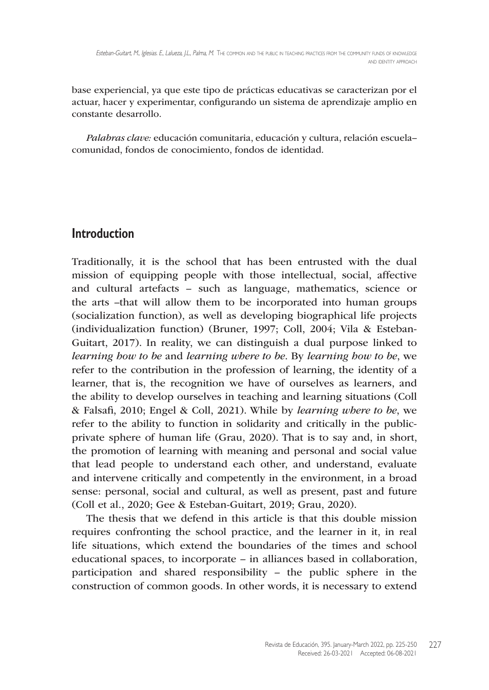base experiencial, ya que este tipo de prácticas educativas se caracterizan por el actuar, hacer y experimentar, configurando un sistema de aprendizaje amplio en constante desarrollo.

*Palabras clave:* educación comunitaria, educación y cultura, relación escuela– comunidad, fondos de conocimiento, fondos de identidad.

#### **Introduction**

Traditionally, it is the school that has been entrusted with the dual mission of equipping people with those intellectual, social, affective and cultural artefacts – such as language, mathematics, science or the arts –that will allow them to be incorporated into human groups (socialization function), as well as developing biographical life projects (individualization function) (Bruner, 1997; Coll, 2004; Vila & Esteban-Guitart, 2017). In reality, we can distinguish a dual purpose linked to *learning how to be* and *learning where to be*. By *learning how to be*, we refer to the contribution in the profession of learning, the identity of a learner, that is, the recognition we have of ourselves as learners, and the ability to develop ourselves in teaching and learning situations (Coll & Falsafi, 2010; Engel & Coll, 2021). While by *learning where to be*, we refer to the ability to function in solidarity and critically in the publicprivate sphere of human life (Grau, 2020). That is to say and, in short, the promotion of learning with meaning and personal and social value that lead people to understand each other, and understand, evaluate and intervene critically and competently in the environment, in a broad sense: personal, social and cultural, as well as present, past and future (Coll et al., 2020; Gee & Esteban-Guitart, 2019; Grau, 2020).

The thesis that we defend in this article is that this double mission requires confronting the school practice, and the learner in it, in real life situations, which extend the boundaries of the times and school educational spaces, to incorporate – in alliances based in collaboration, participation and shared responsibility – the public sphere in the construction of common goods. In other words, it is necessary to extend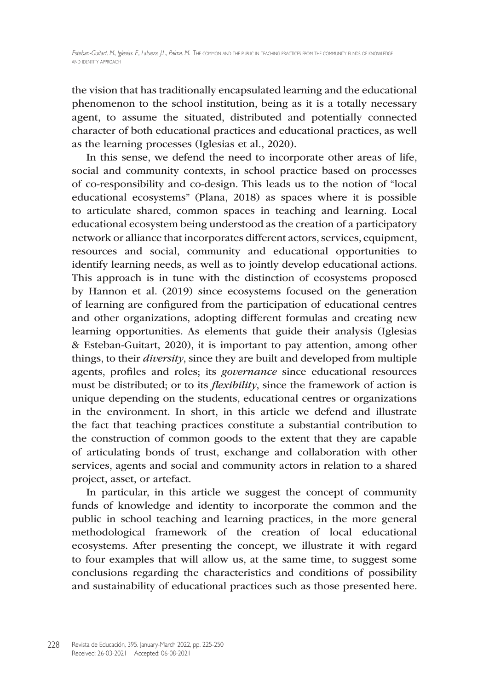the vision that has traditionally encapsulated learning and the educational phenomenon to the school institution, being as it is a totally necessary agent, to assume the situated, distributed and potentially connected character of both educational practices and educational practices, as well as the learning processes (Iglesias et al., 2020).

In this sense, we defend the need to incorporate other areas of life, social and community contexts, in school practice based on processes of co-responsibility and co-design. This leads us to the notion of "local educational ecosystems" (Plana, 2018) as spaces where it is possible to articulate shared, common spaces in teaching and learning. Local educational ecosystem being understood as the creation of a participatory network or alliance that incorporates different actors, services, equipment, resources and social, community and educational opportunities to identify learning needs, as well as to jointly develop educational actions. This approach is in tune with the distinction of ecosystems proposed by Hannon et al. (2019) since ecosystems focused on the generation of learning are configured from the participation of educational centres and other organizations, adopting different formulas and creating new learning opportunities. As elements that guide their analysis (Iglesias & Esteban-Guitart, 2020), it is important to pay attention, among other things, to their *diversity*, since they are built and developed from multiple agents, profiles and roles; its *governance* since educational resources must be distributed; or to its *flexibility*, since the framework of action is unique depending on the students, educational centres or organizations in the environment. In short, in this article we defend and illustrate the fact that teaching practices constitute a substantial contribution to the construction of common goods to the extent that they are capable of articulating bonds of trust, exchange and collaboration with other services, agents and social and community actors in relation to a shared project, asset, or artefact.

In particular, in this article we suggest the concept of community funds of knowledge and identity to incorporate the common and the public in school teaching and learning practices, in the more general methodological framework of the creation of local educational ecosystems. After presenting the concept, we illustrate it with regard to four examples that will allow us, at the same time, to suggest some conclusions regarding the characteristics and conditions of possibility and sustainability of educational practices such as those presented here.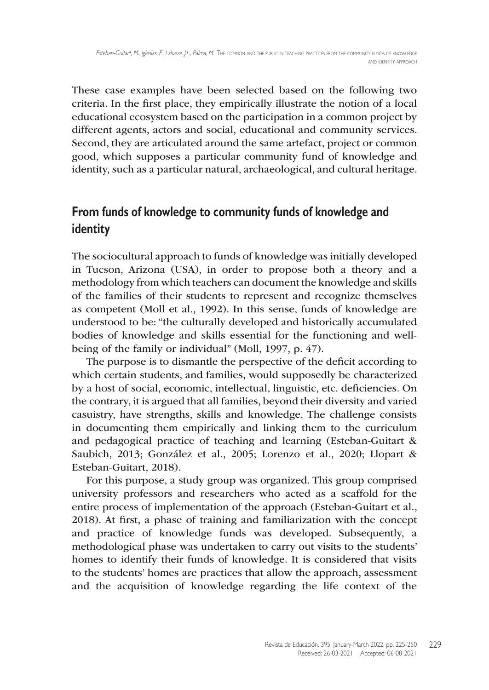These case examples have been selected based on the following two criteria. In the first place, they empirically illustrate the notion of a local educational ecosystem based on the participation in a common project by different agents, actors and social, educational and community services. Second, they are articulated around the same artefact, project or common good, which supposes a particular community fund of knowledge and identity, such as a particular natural, archaeological, and cultural heritage.

### **From funds of knowledge to community funds of knowledge and identity**

The sociocultural approach to funds of knowledge was initially developed in Tucson, Arizona (USA), in order to propose both a theory and a methodology from which teachers can document the knowledge and skills of the families of their students to represent and recognize themselves as competent (Moll et al., 1992). In this sense, funds of knowledge are understood to be: "the culturally developed and historically accumulated bodies of knowledge and skills essential for the functioning and wellbeing of the family or individual" (Moll, 1997, p. 47).

The purpose is to dismantle the perspective of the deficit according to which certain students, and families, would supposedly be characterized by a host of social, economic, intellectual, linguistic, etc. deficiencies. On the contrary, it is argued that all families, beyond their diversity and varied casuistry, have strengths, skills and knowledge. The challenge consists in documenting them empirically and linking them to the curriculum and pedagogical practice of teaching and learning (Esteban-Guitart & Saubich, 2013; González et al., 2005; Lorenzo et al., 2020; Llopart & Esteban-Guitart, 2018).

For this purpose, a study group was organized. This group comprised university professors and researchers who acted as a scaffold for the entire process of implementation of the approach (Esteban-Guitart et al., 2018). At first, a phase of training and familiarization with the concept and practice of knowledge funds was developed. Subsequently, a methodological phase was undertaken to carry out visits to the students' homes to identify their funds of knowledge. It is considered that visits to the students' homes are practices that allow the approach, assessment and the acquisition of knowledge regarding the life context of the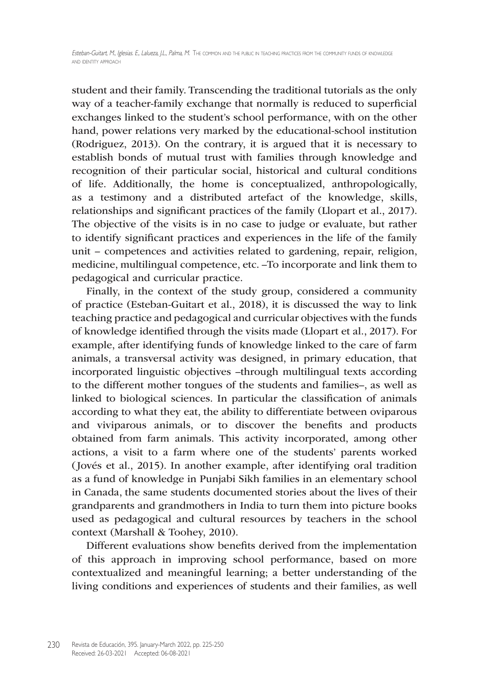student and their family. Transcending the traditional tutorials as the only way of a teacher-family exchange that normally is reduced to superficial exchanges linked to the student's school performance, with on the other hand, power relations very marked by the educational-school institution (Rodriguez, 2013). On the contrary, it is argued that it is necessary to establish bonds of mutual trust with families through knowledge and recognition of their particular social, historical and cultural conditions of life. Additionally, the home is conceptualized, anthropologically, as a testimony and a distributed artefact of the knowledge, skills, relationships and significant practices of the family (Llopart et al., 2017). The objective of the visits is in no case to judge or evaluate, but rather to identify significant practices and experiences in the life of the family unit – competences and activities related to gardening, repair, religion, medicine, multilingual competence, etc. –To incorporate and link them to pedagogical and curricular practice.

Finally, in the context of the study group, considered a community of practice (Esteban-Guitart et al., 2018), it is discussed the way to link teaching practice and pedagogical and curricular objectives with the funds of knowledge identified through the visits made (Llopart et al., 2017). For example, after identifying funds of knowledge linked to the care of farm animals, a transversal activity was designed, in primary education, that incorporated linguistic objectives –through multilingual texts according to the different mother tongues of the students and families–, as well as linked to biological sciences. In particular the classification of animals according to what they eat, the ability to differentiate between oviparous and viviparous animals, or to discover the benefits and products obtained from farm animals. This activity incorporated, among other actions, a visit to a farm where one of the students' parents worked (Jovés et al., 2015). In another example, after identifying oral tradition as a fund of knowledge in Punjabi Sikh families in an elementary school in Canada, the same students documented stories about the lives of their grandparents and grandmothers in India to turn them into picture books used as pedagogical and cultural resources by teachers in the school context (Marshall & Toohey, 2010).

Different evaluations show benefits derived from the implementation of this approach in improving school performance, based on more contextualized and meaningful learning; a better understanding of the living conditions and experiences of students and their families, as well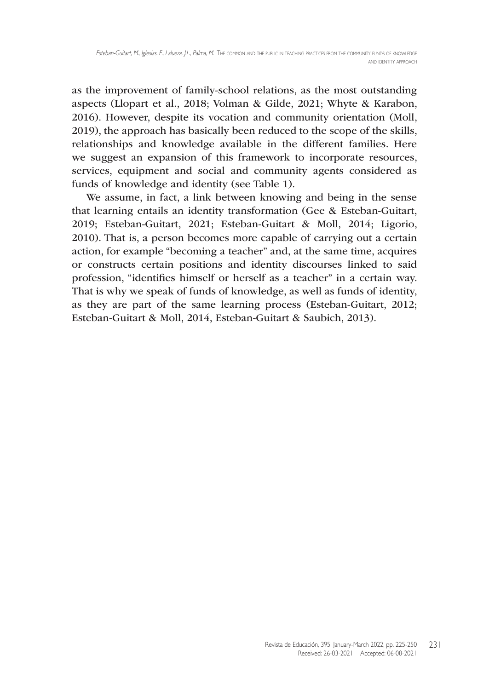as the improvement of family-school relations, as the most outstanding aspects (Llopart et al., 2018; Volman & Gilde, 2021; Whyte & Karabon, 2016). However, despite its vocation and community orientation (Moll, 2019), the approach has basically been reduced to the scope of the skills, relationships and knowledge available in the different families. Here we suggest an expansion of this framework to incorporate resources, services, equipment and social and community agents considered as funds of knowledge and identity (see Table 1).

We assume, in fact, a link between knowing and being in the sense that learning entails an identity transformation (Gee & Esteban-Guitart, 2019; Esteban-Guitart, 2021; Esteban-Guitart & Moll, 2014; Ligorio, 2010). That is, a person becomes more capable of carrying out a certain action, for example "becoming a teacher" and, at the same time, acquires or constructs certain positions and identity discourses linked to said profession, "identifies himself or herself as a teacher" in a certain way. That is why we speak of funds of knowledge, as well as funds of identity, as they are part of the same learning process (Esteban-Guitart, 2012; Esteban-Guitart & Moll, 2014, Esteban-Guitart & Saubich, 2013).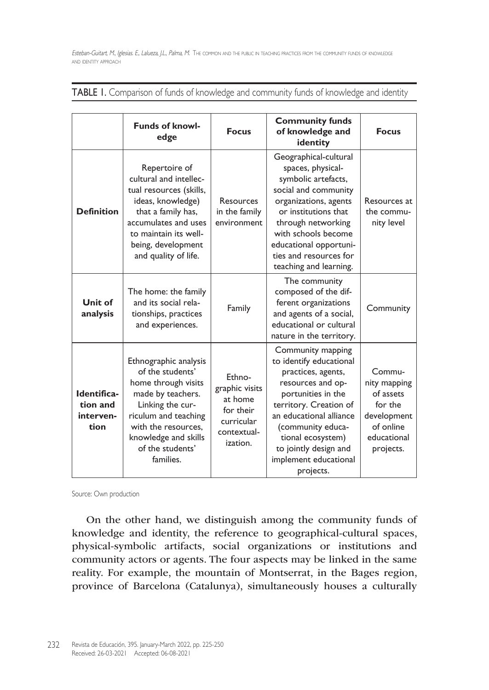|                                              | <b>Funds of knowl-</b><br>edge                                                                                                                                                                                    | <b>Focus</b>                                                                              | <b>Community funds</b><br>of knowledge and<br>identity                                                                                                                                                                                                                      | <b>Focus</b>                                                                                           |
|----------------------------------------------|-------------------------------------------------------------------------------------------------------------------------------------------------------------------------------------------------------------------|-------------------------------------------------------------------------------------------|-----------------------------------------------------------------------------------------------------------------------------------------------------------------------------------------------------------------------------------------------------------------------------|--------------------------------------------------------------------------------------------------------|
| <b>Definition</b>                            | Repertoire of<br>cultural and intellec-<br>tual resources (skills,<br>ideas, knowledge)<br>that a family has,<br>accumulates and uses<br>to maintain its well-<br>being, development<br>and quality of life.      | Resources<br>in the family<br>environment                                                 | Geographical-cultural<br>spaces, physical-<br>symbolic artefacts,<br>social and community<br>organizations, agents<br>or institutions that<br>through networking<br>with schools become<br>educational opportuni-<br>ties and resources for<br>teaching and learning.       | Resources at<br>the commu-<br>nity level                                                               |
| Unit of<br>analysis                          | The home: the family<br>and its social rela-<br>tionships, practices<br>and experiences.                                                                                                                          | Family                                                                                    | The community<br>composed of the dif-<br>ferent organizations<br>and agents of a social,<br>educational or cultural<br>nature in the territory.                                                                                                                             | Community                                                                                              |
| Identifica-<br>tion and<br>interven-<br>tion | Ethnographic analysis<br>of the students'<br>home through visits<br>made by teachers.<br>Linking the cur-<br>riculum and teaching<br>with the resources.<br>knowledge and skills<br>of the students'<br>families. | Ethno-<br>graphic visits<br>at home<br>for their<br>curricular<br>contextual-<br>ization. | Community mapping<br>to identify educational<br>practices, agents,<br>resources and op-<br>portunities in the<br>territory. Creation of<br>an educational alliance<br>(community educa-<br>tional ecosystem)<br>to jointly design and<br>implement educational<br>projects. | Commu-<br>nity mapping<br>of assets<br>for the<br>development<br>of online<br>educational<br>projects. |

TABLE I. Comparison of funds of knowledge and community funds of knowledge and identity

Source: Own production

On the other hand, we distinguish among the community funds of knowledge and identity, the reference to geographical-cultural spaces, physical-symbolic artifacts, social organizations or institutions and community actors or agents. The four aspects may be linked in the same reality. For example, the mountain of Montserrat, in the Bages region, province of Barcelona (Catalunya), simultaneously houses a culturally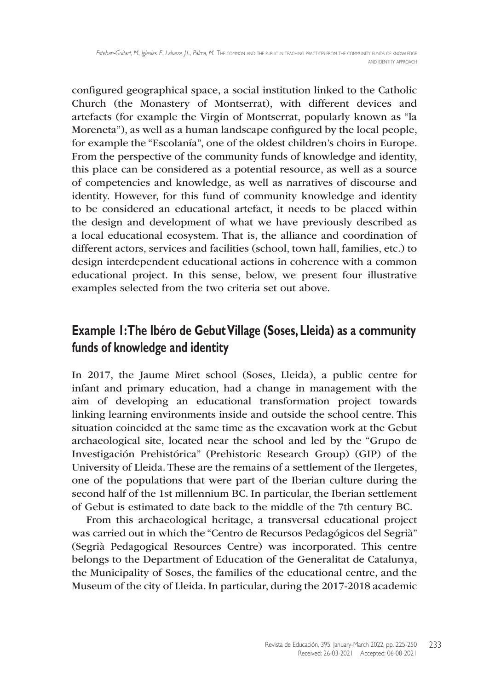configured geographical space, a social institution linked to the Catholic Church (the Monastery of Montserrat), with different devices and artefacts (for example the Virgin of Montserrat, popularly known as "la Moreneta"), as well as a human landscape configured by the local people, for example the "Escolanía", one of the oldest children's choirs in Europe. From the perspective of the community funds of knowledge and identity, this place can be considered as a potential resource, as well as a source of competencies and knowledge, as well as narratives of discourse and identity. However, for this fund of community knowledge and identity to be considered an educational artefact, it needs to be placed within the design and development of what we have previously described as a local educational ecosystem. That is, the alliance and coordination of different actors, services and facilities (school, town hall, families, etc.) to design interdependent educational actions in coherence with a common educational project. In this sense, below, we present four illustrative examples selected from the two criteria set out above.

## **Example 1: The Ibéro de Gebut Village (Soses, Lleida) as a community funds of knowledge and identity**

In 2017, the Jaume Miret school (Soses, Lleida), a public centre for infant and primary education, had a change in management with the aim of developing an educational transformation project towards linking learning environments inside and outside the school centre. This situation coincided at the same time as the excavation work at the Gebut archaeological site, located near the school and led by the "Grupo de Investigación Prehistórica" (Prehistoric Research Group) (GIP) of the University of Lleida. These are the remains of a settlement of the Ilergetes, one of the populations that were part of the Iberian culture during the second half of the 1st millennium BC. In particular, the Iberian settlement of Gebut is estimated to date back to the middle of the 7th century BC.

From this archaeological heritage, a transversal educational project was carried out in which the "Centro de Recursos Pedagógicos del Segrià" (Segrià Pedagogical Resources Centre) was incorporated. This centre belongs to the Department of Education of the Generalitat de Catalunya, the Municipality of Soses, the families of the educational centre, and the Museum of the city of Lleida. In particular, during the 2017-2018 academic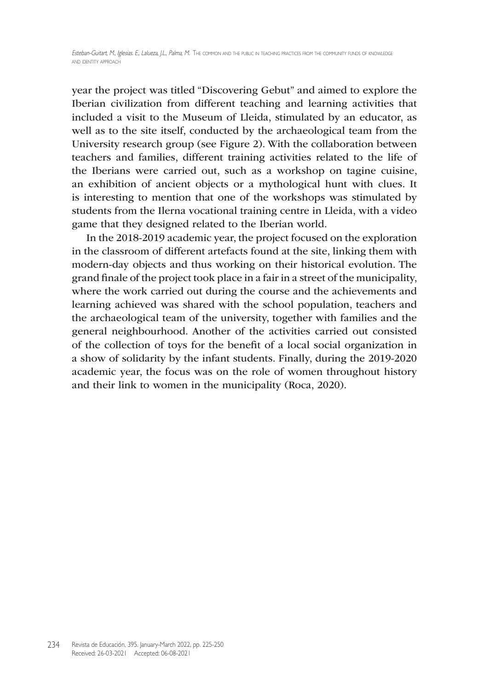year the project was titled "Discovering Gebut" and aimed to explore the Iberian civilization from different teaching and learning activities that included a visit to the Museum of Lleida, stimulated by an educator, as well as to the site itself, conducted by the archaeological team from the University research group (see Figure 2). With the collaboration between teachers and families, different training activities related to the life of the Iberians were carried out, such as a workshop on tagine cuisine, an exhibition of ancient objects or a mythological hunt with clues. It is interesting to mention that one of the workshops was stimulated by students from the Ilerna vocational training centre in Lleida, with a video game that they designed related to the Iberian world.

In the 2018-2019 academic year, the project focused on the exploration in the classroom of different artefacts found at the site, linking them with modern-day objects and thus working on their historical evolution. The grand finale of the project took place in a fair in a street of the municipality, where the work carried out during the course and the achievements and learning achieved was shared with the school population, teachers and the archaeological team of the university, together with families and the general neighbourhood. Another of the activities carried out consisted of the collection of toys for the benefit of a local social organization in a show of solidarity by the infant students. Finally, during the 2019-2020 academic year, the focus was on the role of women throughout history and their link to women in the municipality (Roca, 2020).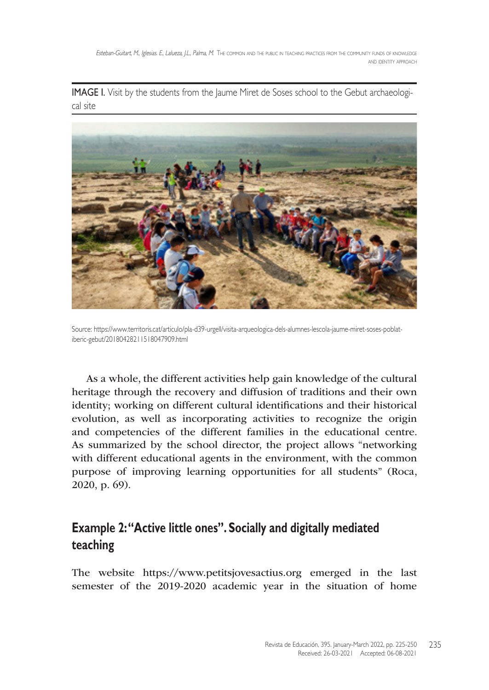**IMAGE I.** Visit by the students from the Jaume Miret de Soses school to the Gebut archaeological site



Source: [https://www.territoris.cat/articulo/pla-d39-urgell/visita-arqueologica-dels-alumnes-lescola-jaume-miret-soses-poblat](https://www.territoris.cat/articulo/pla-d39-urgell/visita-arqueologica-dels-alumnes-lescola-jaume-miret-soses-poblat-iberic-gebut/20180428211518047909.html)[iberic-gebut/20180428211518047909.html](https://www.territoris.cat/articulo/pla-d39-urgell/visita-arqueologica-dels-alumnes-lescola-jaume-miret-soses-poblat-iberic-gebut/20180428211518047909.html)

As a whole, the different activities help gain knowledge of the cultural heritage through the recovery and diffusion of traditions and their own identity; working on different cultural identifications and their historical evolution, as well as incorporating activities to recognize the origin and competencies of the different families in the educational centre. As summarized by the school director, the project allows "networking with different educational agents in the environment, with the common purpose of improving learning opportunities for all students" (Roca, 2020, p. 69).

## **Example 2: "Active little ones". Socially and digitally mediated teaching**

The website [https://www.petitsjovesactius.org](https://www.petitsjovesactius.org ) emerged in the last semester of the 2019-2020 academic year in the situation of home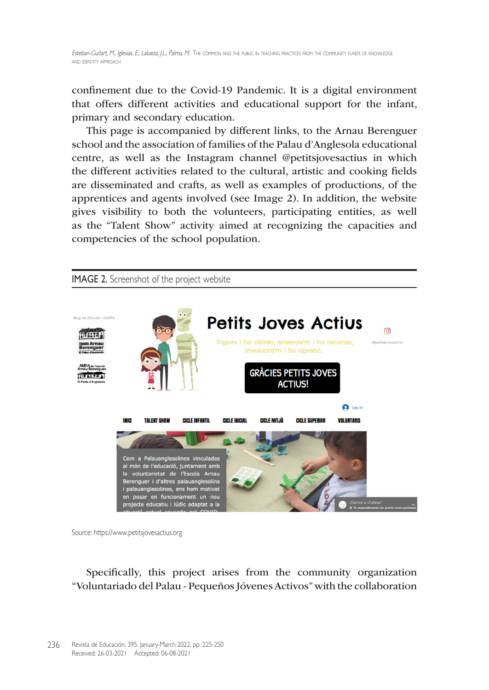confinement due to the Covid-19 Pandemic. It is a digital environment that offers different activities and educational support for the infant, primary and secondary education.

This page is accompanied by different links, to the Arnau Berenguer school and the association of families of the Palau d'Anglesola educational centre, as well as the Instagram channel @petitsjovesactius in which the different activities related to the cultural, artistic and cooking fields are disseminated and crafts, as well as examples of productions, of the apprentices and agents involved (see Image 2). In addition, the website gives visibility to both the volunteers, participating entities, as well as the "Talent Show" activity aimed at recognizing the capacities and competencies of the school population.



Source: [https://www.petitsjovesactius.org](https://www.petitsjovesactius.org )

Specifically, this project arises from the community organization "Voluntariado del Palau - Pequeños Jóvenes Activos" with the collaboration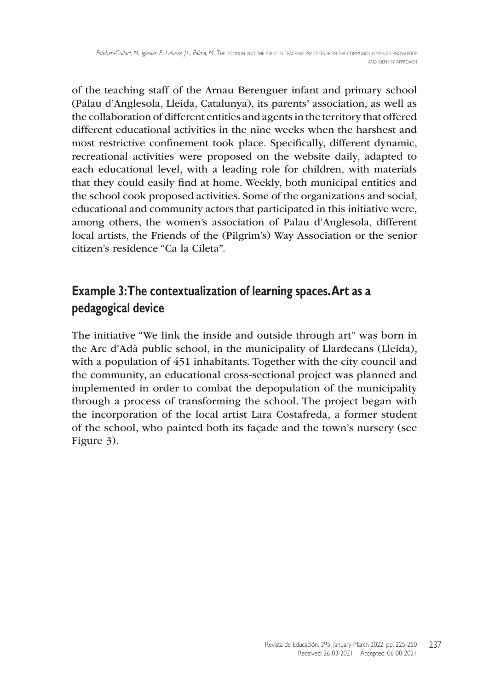of the teaching staff of the Arnau Berenguer infant and primary school (Palau d'Anglesola, Lleida, Catalunya), its parents' association, as well as the collaboration of different entities and agents in the territory that offered different educational activities in the nine weeks when the harshest and most restrictive confinement took place. Specifically, different dynamic, recreational activities were proposed on the website daily, adapted to each educational level, with a leading role for children, with materials that they could easily find at home. Weekly, both municipal entities and the school cook proposed activities. Some of the organizations and social, educational and community actors that participated in this initiative were, among others, the women's association of Palau d'Anglesola, different local artists, the Friends of the (Pilgrim's) Way Association or the senior citizen's residence "Ca la Cileta".

## **Example 3: The contextualization of learning spaces. Art as a pedagogical device**

The initiative "We link the inside and outside through art" was born in the Arc d'Adà public school, in the municipality of Llardecans (Lleida), with a population of 451 inhabitants. Together with the city council and the community, an educational cross-sectional project was planned and implemented in order to combat the depopulation of the municipality through a process of transforming the school. The project began with the incorporation of the local artist Lara Costafreda, a former student of the school, who painted both its façade and the town's nursery (see Figure 3).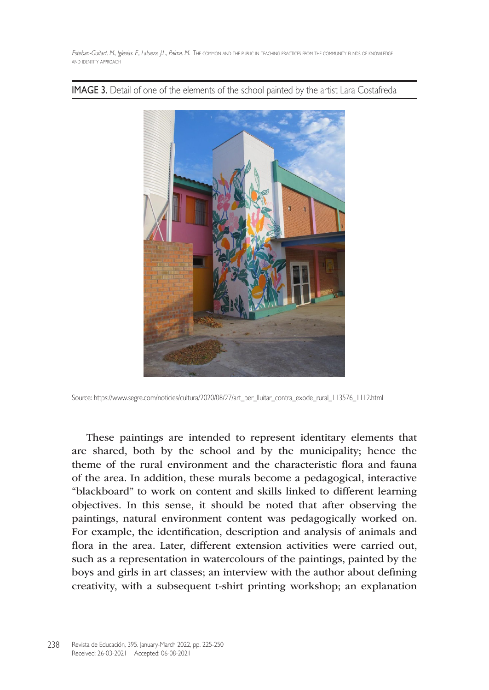**IMAGE 3.** Detail of one of the elements of the school painted by the artist Lara Costafreda



Source: [https://www.segre.com/noticies/cultura/2020/08/27/art\\_per\\_lluitar\\_contra\\_exode\\_rural\\_113576\\_1112.html](https://www.segre.com/noticies/cultura/2020/08/27/art_per_lluitar_contra_exode_rural_113576_1112.html)

These paintings are intended to represent identitary elements that are shared, both by the school and by the municipality; hence the theme of the rural environment and the characteristic flora and fauna of the area. In addition, these murals become a pedagogical, interactive "blackboard" to work on content and skills linked to different learning objectives. In this sense, it should be noted that after observing the paintings, natural environment content was pedagogically worked on. For example, the identification, description and analysis of animals and flora in the area. Later, different extension activities were carried out, such as a representation in watercolours of the paintings, painted by the boys and girls in art classes; an interview with the author about defining creativity, with a subsequent t-shirt printing workshop; an explanation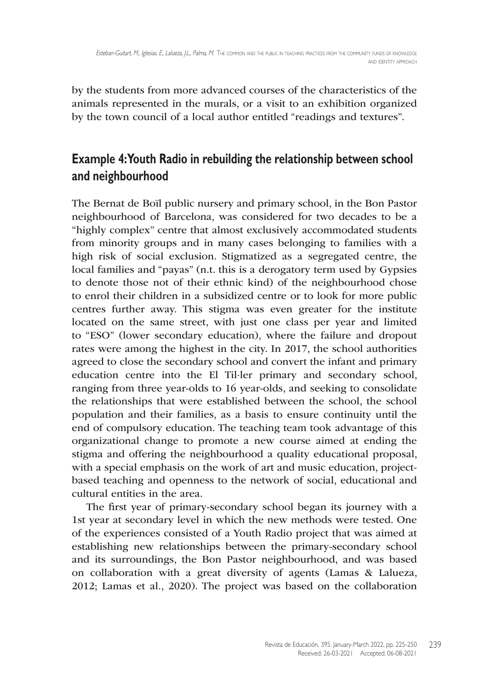by the students from more advanced courses of the characteristics of the animals represented in the murals, or a visit to an exhibition organized by the town council of a local author entitled "readings and textures".

# **Example 4: Youth Radio in rebuilding the relationship between school and neighbourhood**

The Bernat de Boïl public nursery and primary school, in the Bon Pastor neighbourhood of Barcelona, was considered for two decades to be a "highly complex" centre that almost exclusively accommodated students from minority groups and in many cases belonging to families with a high risk of social exclusion. Stigmatized as a segregated centre, the local families and "payas" (n.t. this is a derogatory term used by Gypsies to denote those not of their ethnic kind) of the neighbourhood chose to enrol their children in a subsidized centre or to look for more public centres further away. This stigma was even greater for the institute located on the same street, with just one class per year and limited to "ESO" (lower secondary education), where the failure and dropout rates were among the highest in the city. In 2017, the school authorities agreed to close the secondary school and convert the infant and primary education centre into the El Til·ler primary and secondary school, ranging from three year-olds to 16 year-olds, and seeking to consolidate the relationships that were established between the school, the school population and their families, as a basis to ensure continuity until the end of compulsory education. The teaching team took advantage of this organizational change to promote a new course aimed at ending the stigma and offering the neighbourhood a quality educational proposal, with a special emphasis on the work of art and music education, projectbased teaching and openness to the network of social, educational and cultural entities in the area.

The first year of primary-secondary school began its journey with a 1st year at secondary level in which the new methods were tested. One of the experiences consisted of a Youth Radio project that was aimed at establishing new relationships between the primary-secondary school and its surroundings, the Bon Pastor neighbourhood, and was based on collaboration with a great diversity of agents (Lamas & Lalueza, 2012; Lamas et al., 2020). The project was based on the collaboration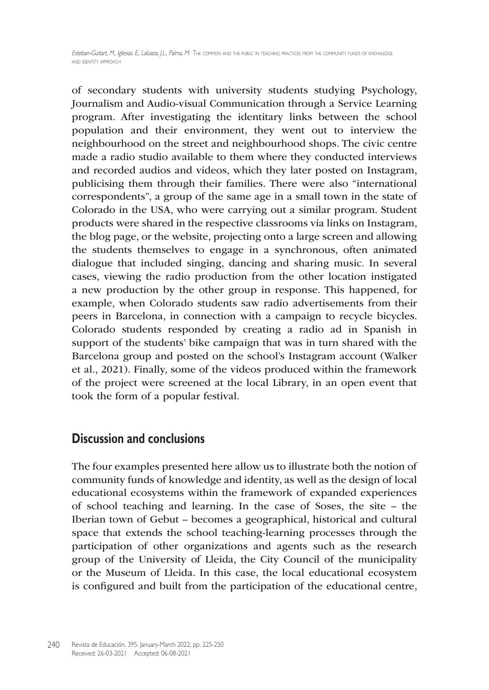of secondary students with university students studying Psychology, Journalism and Audio-visual Communication through a Service Learning program. After investigating the identitary links between the school population and their environment, they went out to interview the neighbourhood on the street and neighbourhood shops. The civic centre made a radio studio available to them where they conducted interviews and recorded audios and videos, which they later posted on Instagram, publicising them through their families. There were also "international correspondents", a group of the same age in a small town in the state of Colorado in the USA, who were carrying out a similar program. Student products were shared in the respective classrooms via links on Instagram, the blog page, or the website, projecting onto a large screen and allowing the students themselves to engage in a synchronous, often animated dialogue that included singing, dancing and sharing music. In several cases, viewing the radio production from the other location instigated a new production by the other group in response. This happened, for example, when Colorado students saw radio advertisements from their peers in Barcelona, in connection with a campaign to recycle bicycles. Colorado students responded by creating a radio ad in Spanish in support of the students' bike campaign that was in turn shared with the Barcelona group and posted on the school's Instagram account (Walker et al., 2021). Finally, some of the videos produced within the framework of the project were screened at the local Library, in an open event that took the form of a popular festival.

#### **Discussion and conclusions**

The four examples presented here allow us to illustrate both the notion of community funds of knowledge and identity, as well as the design of local educational ecosystems within the framework of expanded experiences of school teaching and learning. In the case of Soses, the site – the Iberian town of Gebut – becomes a geographical, historical and cultural space that extends the school teaching-learning processes through the participation of other organizations and agents such as the research group of the University of Lleida, the City Council of the municipality or the Museum of Lleida. In this case, the local educational ecosystem is configured and built from the participation of the educational centre,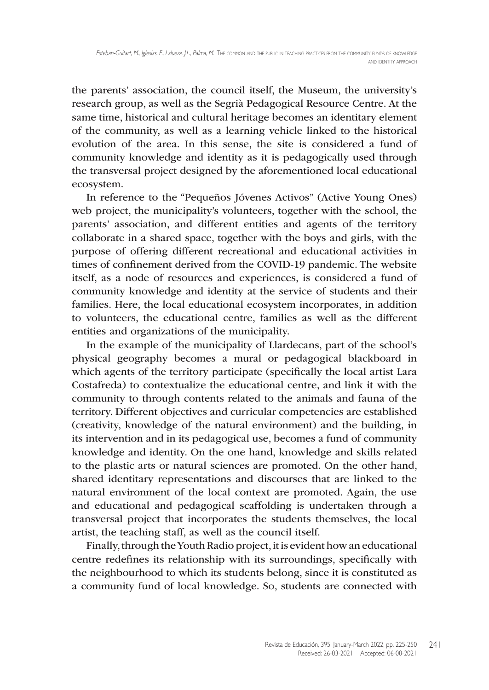the parents' association, the council itself, the Museum, the university's research group, as well as the Segrià Pedagogical Resource Centre. At the same time, historical and cultural heritage becomes an identitary element of the community, as well as a learning vehicle linked to the historical evolution of the area. In this sense, the site is considered a fund of community knowledge and identity as it is pedagogically used through the transversal project designed by the aforementioned local educational ecosystem.

In reference to the "Pequeños Jóvenes Activos" (Active Young Ones) web project, the municipality's volunteers, together with the school, the parents' association, and different entities and agents of the territory collaborate in a shared space, together with the boys and girls, with the purpose of offering different recreational and educational activities in times of confinement derived from the COVID-19 pandemic. The website itself, as a node of resources and experiences, is considered a fund of community knowledge and identity at the service of students and their families. Here, the local educational ecosystem incorporates, in addition to volunteers, the educational centre, families as well as the different entities and organizations of the municipality.

In the example of the municipality of Llardecans, part of the school's physical geography becomes a mural or pedagogical blackboard in which agents of the territory participate (specifically the local artist Lara Costafreda) to contextualize the educational centre, and link it with the community to through contents related to the animals and fauna of the territory. Different objectives and curricular competencies are established (creativity, knowledge of the natural environment) and the building, in its intervention and in its pedagogical use, becomes a fund of community knowledge and identity. On the one hand, knowledge and skills related to the plastic arts or natural sciences are promoted. On the other hand, shared identitary representations and discourses that are linked to the natural environment of the local context are promoted. Again, the use and educational and pedagogical scaffolding is undertaken through a transversal project that incorporates the students themselves, the local artist, the teaching staff, as well as the council itself.

Finally, through the Youth Radio project, it is evident how an educational centre redefines its relationship with its surroundings, specifically with the neighbourhood to which its students belong, since it is constituted as a community fund of local knowledge. So, students are connected with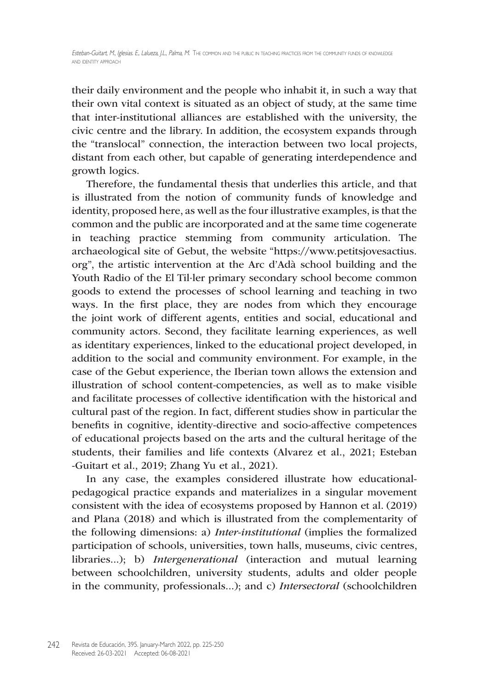their daily environment and the people who inhabit it, in such a way that their own vital context is situated as an object of study, at the same time that inter-institutional alliances are established with the university, the civic centre and the library. In addition, the ecosystem expands through the "translocal" connection, the interaction between two local projects, distant from each other, but capable of generating interdependence and growth logics.

Therefore, the fundamental thesis that underlies this article, and that is illustrated from the notion of community funds of knowledge and identity, proposed here, as well as the four illustrative examples, is that the common and the public are incorporated and at the same time cogenerate in teaching practice stemming from community articulation. The archaeological site of Gebut, the website ["https://www.petitsjovesactius.](https://www.petitsjovesactius.org ) [org](https://www.petitsjovesactius.org )", the artistic intervention at the Arc d'Adà school building and the Youth Radio of the El Til·ler primary secondary school become common goods to extend the processes of school learning and teaching in two ways. In the first place, they are nodes from which they encourage the joint work of different agents, entities and social, educational and community actors. Second, they facilitate learning experiences, as well as identitary experiences, linked to the educational project developed, in addition to the social and community environment. For example, in the case of the Gebut experience, the Iberian town allows the extension and illustration of school content-competencies, as well as to make visible and facilitate processes of collective identification with the historical and cultural past of the region. In fact, different studies show in particular the benefits in cognitive, identity-directive and socio-affective competences of educational projects based on the arts and the cultural heritage of the students, their families and life contexts (Alvarez et al., 2021; Esteban -Guitart et al., 2019; Zhang Yu et al., 2021).

In any case, the examples considered illustrate how educationalpedagogical practice expands and materializes in a singular movement consistent with the idea of ecosystems proposed by Hannon et al. (2019) and Plana (2018) and which is illustrated from the complementarity of the following dimensions: a) *Inter-institutional* (implies the formalized participation of schools, universities, town halls, museums, civic centres, libraries...); b) *Intergenerational* (interaction and mutual learning between schoolchildren, university students, adults and older people in the community, professionals...); and c) *Intersectoral* (schoolchildren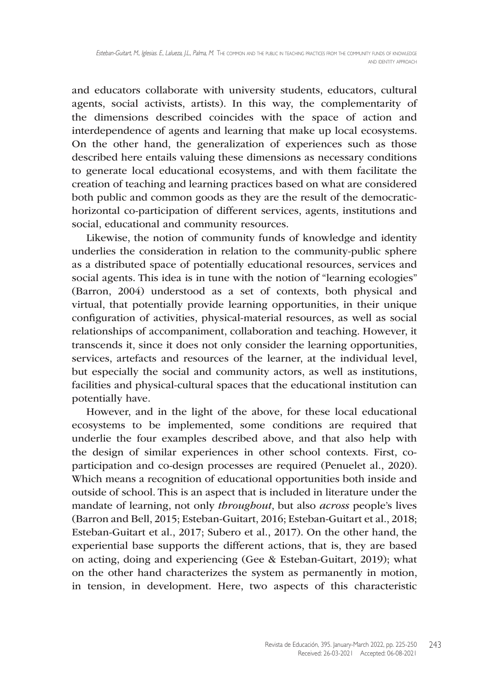and educators collaborate with university students, educators, cultural agents, social activists, artists). In this way, the complementarity of the dimensions described coincides with the space of action and interdependence of agents and learning that make up local ecosystems. On the other hand, the generalization of experiences such as those described here entails valuing these dimensions as necessary conditions to generate local educational ecosystems, and with them facilitate the creation of teaching and learning practices based on what are considered both public and common goods as they are the result of the democratichorizontal co-participation of different services, agents, institutions and social, educational and community resources.

Likewise, the notion of community funds of knowledge and identity underlies the consideration in relation to the community-public sphere as a distributed space of potentially educational resources, services and social agents. This idea is in tune with the notion of "learning ecologies" (Barron, 2004) understood as a set of contexts, both physical and virtual, that potentially provide learning opportunities, in their unique configuration of activities, physical-material resources, as well as social relationships of accompaniment, collaboration and teaching. However, it transcends it, since it does not only consider the learning opportunities, services, artefacts and resources of the learner, at the individual level, but especially the social and community actors, as well as institutions, facilities and physical-cultural spaces that the educational institution can potentially have.

However, and in the light of the above, for these local educational ecosystems to be implemented, some conditions are required that underlie the four examples described above, and that also help with the design of similar experiences in other school contexts. First, coparticipation and co-design processes are required (Penuelet al., 2020). Which means a recognition of educational opportunities both inside and outside of school. This is an aspect that is included in literature under the mandate of learning, not only *throughout*, but also *across* people's lives (Barron and Bell, 2015; Esteban-Guitart, 2016; Esteban-Guitart et al., 2018; Esteban-Guitart et al., 2017; Subero et al., 2017). On the other hand, the experiential base supports the different actions, that is, they are based on acting, doing and experiencing (Gee & Esteban-Guitart, 2019); what on the other hand characterizes the system as permanently in motion, in tension, in development. Here, two aspects of this characteristic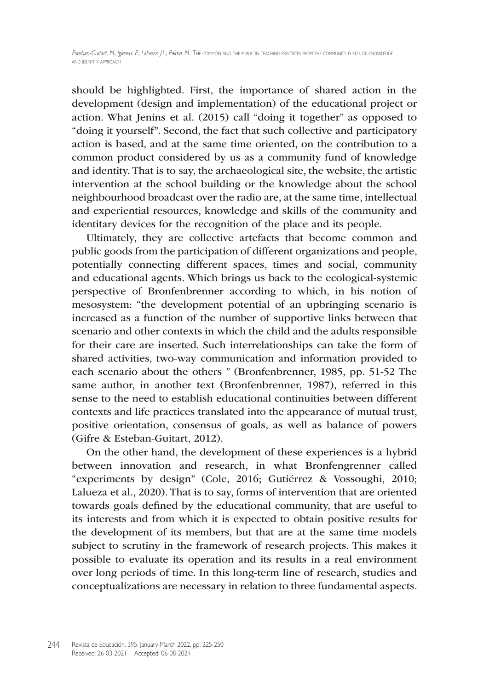should be highlighted. First, the importance of shared action in the development (design and implementation) of the educational project or action. What Jenins et al. (2015) call "doing it together" as opposed to "doing it yourself". Second, the fact that such collective and participatory action is based, and at the same time oriented, on the contribution to a common product considered by us as a community fund of knowledge and identity. That is to say, the archaeological site, the website, the artistic intervention at the school building or the knowledge about the school neighbourhood broadcast over the radio are, at the same time, intellectual and experiential resources, knowledge and skills of the community and identitary devices for the recognition of the place and its people.

Ultimately, they are collective artefacts that become common and public goods from the participation of different organizations and people, potentially connecting different spaces, times and social, community and educational agents. Which brings us back to the ecological-systemic perspective of Bronfenbrenner according to which, in his notion of mesosystem: "the development potential of an upbringing scenario is increased as a function of the number of supportive links between that scenario and other contexts in which the child and the adults responsible for their care are inserted. Such interrelationships can take the form of shared activities, two-way communication and information provided to each scenario about the others " (Bronfenbrenner, 1985, pp. 51-52 The same author, in another text (Bronfenbrenner, 1987), referred in this sense to the need to establish educational continuities between different contexts and life practices translated into the appearance of mutual trust, positive orientation, consensus of goals, as well as balance of powers (Gifre & Esteban-Guitart, 2012).

On the other hand, the development of these experiences is a hybrid between innovation and research, in what Bronfengrenner called "experiments by design" (Cole, 2016; Gutiérrez & Vossoughi, 2010; Lalueza et al., 2020). That is to say, forms of intervention that are oriented towards goals defined by the educational community, that are useful to its interests and from which it is expected to obtain positive results for the development of its members, but that are at the same time models subject to scrutiny in the framework of research projects. This makes it possible to evaluate its operation and its results in a real environment over long periods of time. In this long-term line of research, studies and conceptualizations are necessary in relation to three fundamental aspects.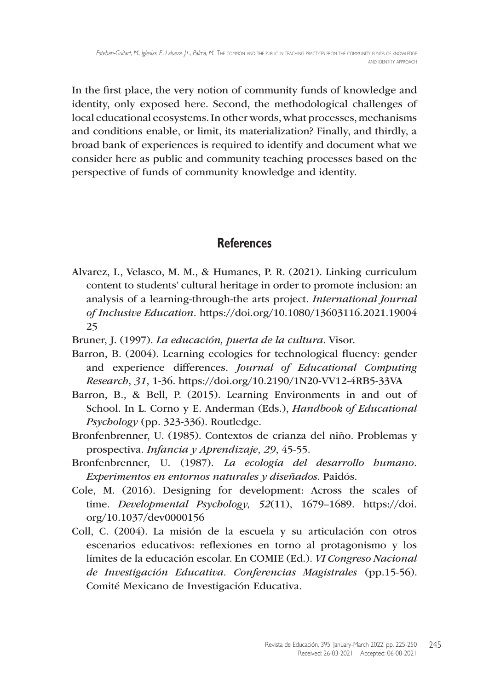In the first place, the very notion of community funds of knowledge and identity, only exposed here. Second, the methodological challenges of local educational ecosystems. In other words, what processes, mechanisms and conditions enable, or limit, its materialization? Finally, and thirdly, a broad bank of experiences is required to identify and document what we consider here as public and community teaching processes based on the perspective of funds of community knowledge and identity.

#### **References**

- Alvarez, I., Velasco, M. M., & Humanes, P. R. (2021). Linking curriculum content to students' cultural heritage in order to promote inclusion: an analysis of a learning-through-the arts project. *International Journal of Inclusive Education*. [https://doi.org/10.1080/13603116.2021.19004](https://doi.org/10.1080/13603116.2021.1900425) [25](https://doi.org/10.1080/13603116.2021.1900425)
- Bruner, J. (1997). *La educación, puerta de la cultura*. Visor.
- Barron, B. (2004). Learning ecologies for technological fluency: gender and experience differences. *Journal of Educational Computing Research*, *31*, 1-36. [https://doi.org/10.2190/1N20-](https://doi.org/10.2190/1N20)VV12-4RB5-33VA
- Barron, B., & Bell, P. (2015). Learning Environments in and out of School. In L. Corno y E. Anderman (Eds.), *Handbook of Educational Psychology* (pp. 323-336). Routledge.
- Bronfenbrenner, U. (1985). Contextos de crianza del niño. Problemas y prospectiva. *Infancia y Aprendizaje*, *29*, 45-55.
- Bronfenbrenner, U. (1987). *La ecología del desarrollo humano. Experimentos en entornos naturales y diseñados*. Paidós.
- Cole, M. (2016). Designing for development: Across the scales of time*. Developmental Psychology, 52*(11), 1679–1689. [https://doi.](https://doi.org/10.1037/dev0000156) [org/10.1037/dev0000156](https://doi.org/10.1037/dev0000156)
- Coll, C. (2004). La misión de la escuela y su articulación con otros escenarios educativos: reflexiones en torno al protagonismo y los límites de la educación escolar. En COMIE (Ed.). *VI Congreso Nacional de Investigación Educativa. Conferencias Magistrales* (pp.15-56). Comité Mexicano de Investigación Educativa.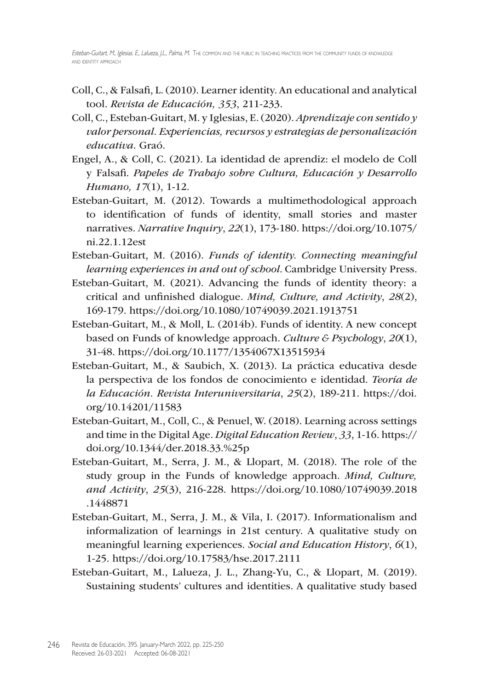- Coll, C., & Falsafi, L. (2010). Learner identity. An educational and analytical tool. *Revista de Educación, 353*, 211-233.
- Coll, C., Esteban-Guitart, M. y Iglesias, E. (2020). *Aprendizaje con sentido y valor personal. Experiencias, recursos y estrategias de personalización educativa*. Graó.
- Engel, A., & Coll, C. (2021). La identidad de aprendiz: el modelo de Coll y Falsafi. *Papeles de Trabajo sobre Cultura, Educación y Desarrollo Humano, 17*(1), 1-12.
- Esteban-Guitart, M. (2012). Towards a multimethodological approach to identification of funds of identity, small stories and master narratives. *Narrative Inquiry*, *22*(1), 173-180. [https://doi.org/10.1075/](https://doi.org/10.1075/ni.22.1.12est) [ni.22.1.12est](https://doi.org/10.1075/ni.22.1.12est)
- Esteban-Guitart, M. (2016). *Funds of identity. Connecting meaningful learning experiences in and out of school*. Cambridge University Press.
- Esteban-Guitart, M. (2021). Advancing the funds of identity theory: a critical and unfinished dialogue. *Mind, Culture, and Activity*, *28*(2), 169-179. <https://doi.org/10.1080/10749039.2021.1913751>
- Esteban-Guitart, M., & Moll, L. (2014b). Funds of identity. A new concept based on Funds of knowledge approach. *Culture & Psychology*, *20*(1), 31-48.<https://doi.org/10.1177/1354067X13515934>
- Esteban-Guitart, M., & Saubich, X. (2013). La práctica educativa desde la perspectiva de los fondos de conocimiento e identidad. *Teoría de la Educación. Revista Interuniversitaria*, *25*(2), 189-211. [https://doi.](https://doi.org/10.14201/11583) [org/10.14201/11583](https://doi.org/10.14201/11583)
- Esteban-Guitart, M., Coll, C., & Penuel, W. (2018). Learning across settings and time in the Digital Age. *Digital Education Review*, *33*, 1-16. [https://](https://doi.org/10.1344/der.2018.33) [doi.org/10.1344/der.2018.33.](https://doi.org/10.1344/der.2018.33)%25p
- Esteban-Guitart, M., Serra, J. M., & Llopart, M. (2018). The role of the study group in the Funds of knowledge approach. *Mind, Culture, and Activity*, *25*(3), 216-228. [https://doi.org/10.1080/10749039.2018](https://doi.org/10.1080/10749039.2018.1448871) [.1448871](https://doi.org/10.1080/10749039.2018.1448871)
- Esteban-Guitart, M., Serra, J. M., & Vila, I. (2017). Informationalism and informalization of learnings in 21st century. A qualitative study on meaningful learning experiences. *Social and Education History*, *6*(1), 1-25. <https://doi.org/10.17583/hse.2017.2111>
- Esteban-Guitart, M., Lalueza, J. L., Zhang-Yu, C., & Llopart, M. (2019). Sustaining students' cultures and identities. A qualitative study based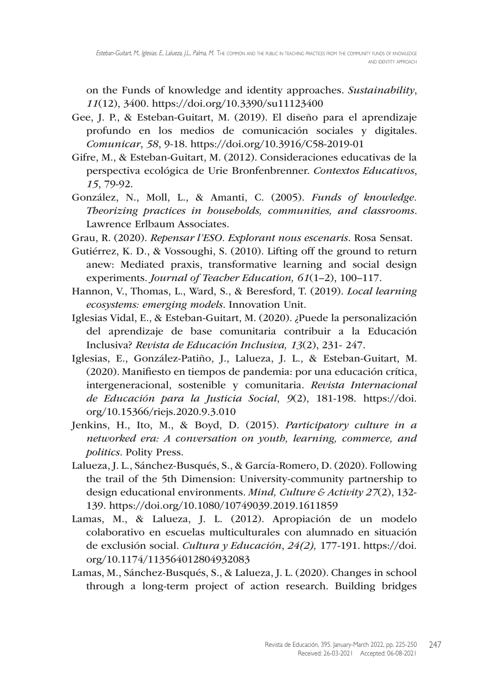on the Funds of knowledge and identity approaches. *Sustainability*, *11*(12), 3400. <https://doi.org/10.3390/su11123400>

- Gee, J. P., & Esteban-Guitart, M. (2019). El diseño para el aprendizaje profundo en los medios de comunicación sociales y digitales. *Comunicar*, *58*, 9-18. <https://doi.org/10.3916/C58>-2019-01
- Gifre, M., & Esteban-Guitart, M. (2012). Consideraciones educativas de la perspectiva ecológica de Urie Bronfenbrenner. *Contextos Educativos*, *15*, 79-92.
- González, N., Moll, L., & Amanti, C. (2005). *Funds of knowledge. Theorizing practices in households, communities, and classrooms*. Lawrence Erlbaum Associates.
- Grau, R. (2020). *Repensar l'ESO. Explorant nous escenaris*. Rosa Sensat.
- Gutiérrez, K. D., & Vossoughi, S. (2010). Lifting off the ground to return anew: Mediated praxis, transformative learning and social design experiments. *Journal of Teacher Education, 61*(1–2), 100–117.
- Hannon, V., Thomas, L., Ward, S., & Beresford, T. (2019). *Local learning ecosystems: emerging models*. Innovation Unit.
- Iglesias Vidal, E., & Esteban-Guitart, M. (2020). ¿Puede la personalización del aprendizaje de base comunitaria contribuir a la Educación Inclusiva? *Revista de Educación Inclusiva, 13*(2), 231- 247.
- Iglesias, E., González-Patiño, J., Lalueza, J. L., & Esteban-Guitart, M. (2020). Manifiesto en tiempos de pandemia: por una educación crítica, intergeneracional, sostenible y comunitaria. *Revista Internacional de Educación para la Justicia Social*, *9*(2), 181-198. [https://doi.](https://doi.org/10.15366/riejs.2020.9.3.010) [org/10.15366/riejs.2020.9.3.010](https://doi.org/10.15366/riejs.2020.9.3.010)
- Jenkins, H., Ito, M., & Boyd, D. (2015). *Participatory culture in a networked era: A conversation on youth, learning, commerce, and politics*. Polity Press.
- Lalueza, J. L., Sánchez-Busqués, S., & García-Romero, D. (2020). Following the trail of the 5th Dimension: University-community partnership to design educational environments. *Mind, Culture & Activity 27*(2), 132- 139. <https://doi.org/10.1080/10749039.2019.1611859>
- Lamas, M., & Lalueza, J. L. (2012). Apropiación de un modelo colaborativo en escuelas multiculturales con alumnado en situación de exclusión social. *Cultura y Educación*, *24(2),* 177-191. [https://doi.](https://doi.org/10.1174/113564012804932083) [org/10.1174/113564012804932083](https://doi.org/10.1174/113564012804932083)
- Lamas, M., Sánchez-Busqués, S., & Lalueza, J. L. (2020). Changes in school through a long-term project of action research. Building bridges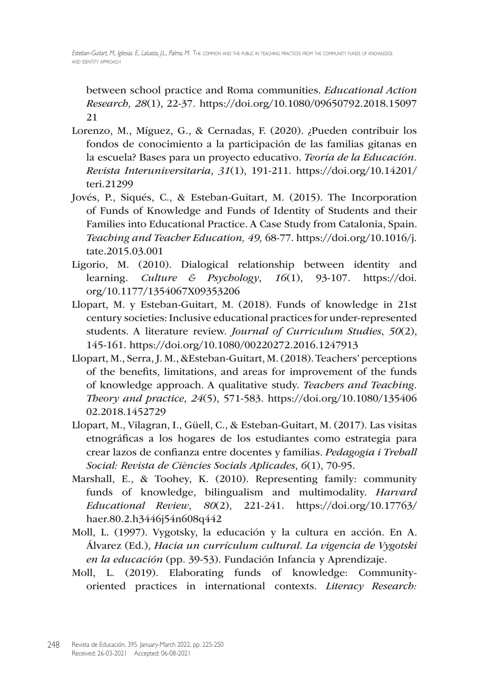between school practice and Roma communities. *Educational Action Research, 28*(1), 22-37*.* [https://doi.org/10.1080/09650792.2018.15097](https://doi.org/10.1080/09650792.2018.1509721) [21](https://doi.org/10.1080/09650792.2018.1509721)

- Lorenzo, M., Míguez, G., & Cernadas, F. (2020). ¿Pueden contribuir los fondos de conocimiento a la participación de las familias gitanas en la escuela? Bases para un proyecto educativo. *Teoría de la Educación. Revista Interuniversitaria*, *31*(1), 191-211. [https://doi.org/10.14201/](https://doi.org/10.14201/teri.21299) [teri.21299](https://doi.org/10.14201/teri.21299)
- Jovés, P., Siqués, C., & Esteban-Guitart, M. (2015). The Incorporation of Funds of Knowledge and Funds of Identity of Students and their Families into Educational Practice. A Case Study from Catalonia, Spain. *Teaching and Teacher Education, 49,* 68-77. [https://doi.org/10.1016/j.](https://doi.org/10.1016/j.tate.2015.03.001) [tate.2015.03.001](https://doi.org/10.1016/j.tate.2015.03.001)
- Ligorio, M. (2010). Dialogical relationship between identity and learning. *Culture & Psychology*, *16*(1), 93-107. [https://doi.](https://doi.org/10.1177/1354067X09353206) [org/10.1177/1354067X09353206](https://doi.org/10.1177/1354067X09353206)
- Llopart, M. y Esteban-Guitart, M. (2018). Funds of knowledge in 21st century societies: Inclusive educational practices for under-represented students. A literature review. *Journal of Curriculum Studies*, *50*(2), 145-161. <https://doi.org/10.1080/00220272.2016.1247913>
- Llopart, M., Serra, J. M., &Esteban-Guitart, M. (2018). Teachers' perceptions of the benefits, limitations, and areas for improvement of the funds of knowledge approach. A qualitative study. *Teachers and Teaching. Theory and practice*, *24*(5), 571-583. [https://doi.org/10.1080/135406](https://doi.org/10.1080/13540602.2018.1452729) [02.2018.1452729](https://doi.org/10.1080/13540602.2018.1452729)
- Llopart, M., Vilagran, I., Güell, C., & Esteban-Guitart, M. (2017). Las visitas etnográficas a los hogares de los estudiantes como estrategia para crear lazos de confianza entre docentes y familias. *Pedagogia i Treball Social: Revista de Ciències Socials Aplicades*, *6*(1), 70-95.
- Marshall, E., & Toohey, K. (2010). Representing family: community funds of knowledge, bilingualism and multimodality. *Harvard Educational Review*, *80*(2), 221-241. [https://doi.org/10.17763/](https://doi.org/10.17763/haer.80.2.h3446j54n608q442) [haer.80.2.h3446j54n608q442](https://doi.org/10.17763/haer.80.2.h3446j54n608q442)
- Moll, L. (1997). Vygotsky, la educación y la cultura en acción. En A. Álvarez (Ed.), *Hacia un currículum cultural. La vigencia de Vygotski en la educación* (pp. 39-53). Fundación Infancia y Aprendizaje.
- Moll, L. (2019). Elaborating funds of knowledge: Communityoriented practices in international contexts. *Literacy Research:*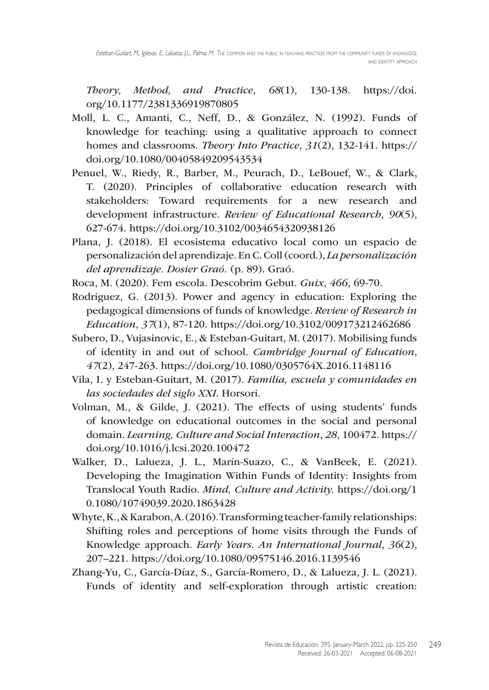*Theory, Method, and Practice*, *68*(1), 130-138. [https://doi.](https://doi.org/10.1177/2381336919870805) [org/10.1177/2381336919870805](https://doi.org/10.1177/2381336919870805)

- Moll, L. C., Amanti, C., Neff, D., & González, N. (1992). Funds of knowledge for teaching: using a qualitative approach to connect homes and classrooms. *Theory Into Practice*, *31*(2), 132-141. [https://](https://doi.org/10.1080/00405849209543534) [doi.org/10.1080/00405849209543534](https://doi.org/10.1080/00405849209543534)
- Penuel, W., Riedy, R., Barber, M., Peurach, D., LeBouef, W., & Clark, T. (2020). Principles of collaborative education research with stakeholders: Toward requirements for a new research and development infrastructure. *Review of Educational Research*, *90*(5), 627-674. <https://doi.org/10.3102/0034654320938126>
- Plana, J. (2018). El ecosistema educativo local como un espacio de personalización del aprendizaje. En C. Coll (coord.), *La personalización del aprendizaje. Dosier Graó.* (p. 89). Graó.
- Roca, M. (2020). Fem escola. Descobrim Gebut. *Guix*, *466*, 69-70.
- Rodriguez, G. (2013). Power and agency in education: Exploring the pedagogical dimensions of funds of knowledge. *Review of Research in Education*, *37*(1), 87-120. <https://doi.org/10.3102/009173212462686>
- Subero, D., Vujasinovic, E., & Esteban-Guitart, M. (2017). Mobilising funds of identity in and out of school. *Cambridge Journal of Education*, *47*(2), 247-263. <https://doi.org/10.1080/0305764X.2016.1148116>
- Vila, I. y Esteban-Guitart, M. (2017). *Familia, escuela y comunidades en las sociedades del siglo XXI*. Horsori.
- Volman, M., & Gilde, J. (2021). The effects of using students' funds of knowledge on educational outcomes in the social and personal domain. *Learning, Culture and Social Interaction*, *28*, 100472. [https://](https://doi.org/10.1016/j.lcsi.2020.100472) [doi.org/10.1016/j.lcsi.2020.100472](https://doi.org/10.1016/j.lcsi.2020.100472)
- Walker, D., Lalueza, J. L., Marín-Suazo, C., & VanBeek, E. (2021). Developing the Imagination Within Funds of Identity: Insights from Translocal Youth Radio. *Mind, Culture and Activity.* [https://doi.org/1](https://doi.org/10.1080/10749039.2020.1863428) [0.1080/10749039.2020.1863428](https://doi.org/10.1080/10749039.2020.1863428)
- Whyte, K., & Karabon, A. (2016). Transforming teacher-family relationships: Shifting roles and perceptions of home visits through the Funds of Knowledge approach. *Early Years. An International Journal*, *36*(2), 207–221. <https://doi.org/10.1080/09575146.2016.1139546>
- Zhang-Yu, C., García-Díaz, S., García-Romero, D., & Lalueza, J. L. (2021). Funds of identity and self-exploration through artistic creation: